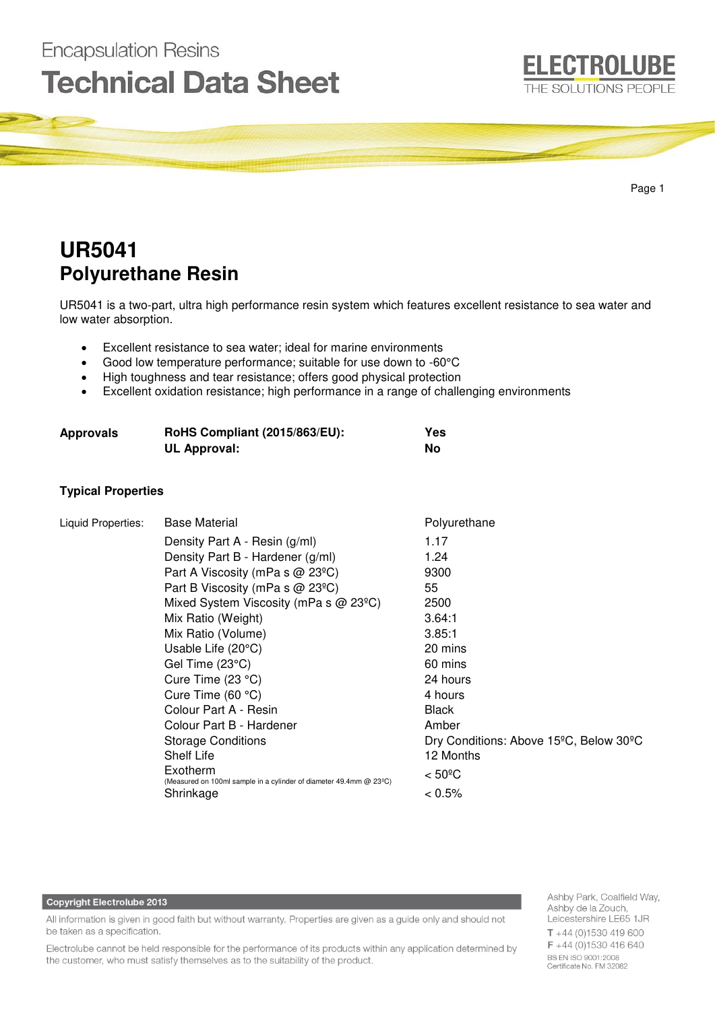

# **UR5041 Polyurethane Resin**

**Encapsulation Resins** 

**Technical Data Sheet** 

UR5041 is a two-part, ultra high performance resin system which features excellent resistance to sea water and low water absorption.

- Excellent resistance to sea water; ideal for marine environments
- Good low temperature performance; suitable for use down to -60°C
- High toughness and tear resistance; offers good physical protection
- Excellent oxidation resistance; high performance in a range of challenging environments

| <b>Approvals</b> | <b>RoHS Compliant (2015/863/EU):</b> | Yes |
|------------------|--------------------------------------|-----|
|                  | UL Approval:                         | No  |

# **Typical Properties**

| Liquid Properties: | <b>Base Material</b>                                                           | Polyurethane                                                     |
|--------------------|--------------------------------------------------------------------------------|------------------------------------------------------------------|
|                    | Density Part A - Resin (g/ml)                                                  | 1.17                                                             |
|                    | Density Part B - Hardener (g/ml)                                               | 1.24                                                             |
|                    | Part A Viscosity (mPa s $@$ 23 <sup>o</sup> C)                                 | 9300                                                             |
|                    | Part B Viscosity (mPa s $@$ 23 <sup>o</sup> C)                                 | 55                                                               |
|                    | Mixed System Viscosity (mPa s $@$ 23 <sup>o</sup> C)                           | 2500                                                             |
|                    | Mix Ratio (Weight)                                                             | 3.64:1                                                           |
|                    | Mix Ratio (Volume)                                                             | 3.85:1                                                           |
|                    | Usable Life (20°C)                                                             | 20 mins                                                          |
|                    | Gel Time (23°C)                                                                | 60 mins                                                          |
|                    | Cure Time $(23 °C)$                                                            | 24 hours                                                         |
|                    | Cure Time $(60 °C)$                                                            | 4 hours                                                          |
|                    | Colour Part A - Resin                                                          | <b>Black</b>                                                     |
|                    | Colour Part B - Hardener                                                       | Amber                                                            |
|                    | <b>Storage Conditions</b>                                                      | Dry Conditions: Above 15 <sup>o</sup> C, Below 30 <sup>o</sup> C |
|                    | Shelf Life                                                                     | 12 Months                                                        |
|                    | Exotherm<br>(Measured on 100ml sample in a cylinder of diameter 49.4mm @ 23°C) | $< 50^{\circ}$ C                                                 |
|                    | Shrinkage                                                                      | $< 0.5\%$                                                        |

#### **Copyright Electrolube 2013**

All information is given in good faith but without warranty. Properties are given as a guide only and should not be taken as a specification.

Electrolube cannot be held responsible for the performance of its products within any application determined by the customer, who must satisfy themselves as to the suitability of the product.

Ashby Park, Coalfield Way, Ashby de la Zouch, Leicestershire LE65 1JR  $T + 44(0)1530419600$ F +44 (0)1530 416 640 BS EN ISO 9001:2008 Certificate No. FM 32082

**ELECTROLUBE** 

THE SOLUTIONS PEOPLE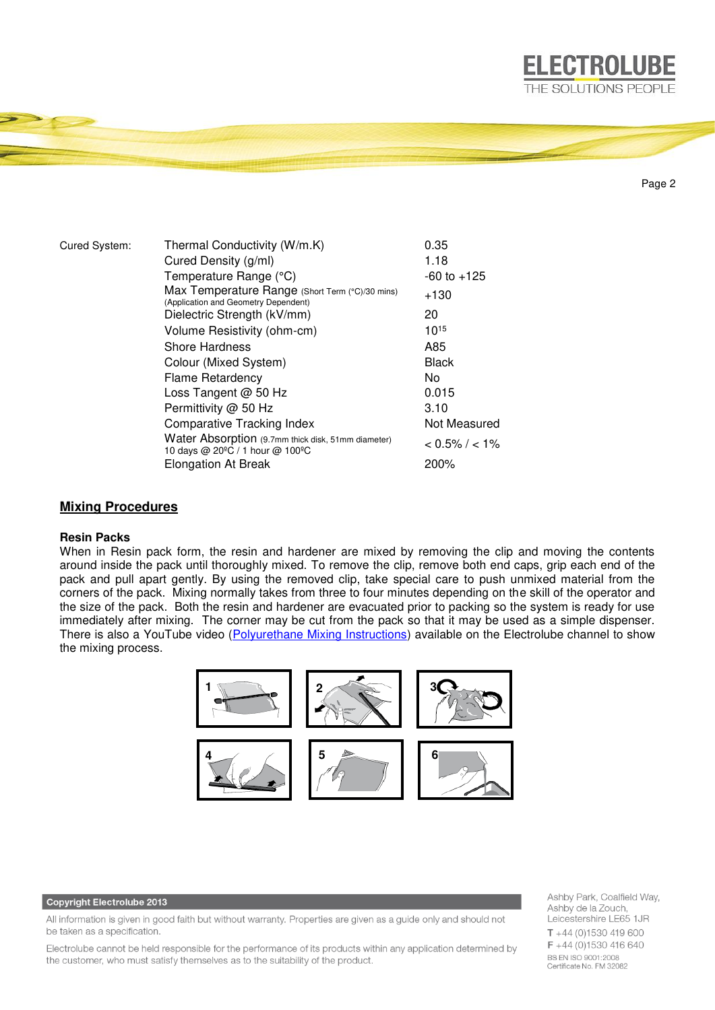

Page 2

**ELECTROLUBE** 

| Cured System: | Thermal Conductivity (W/m.K)                                                            | 0.35              |
|---------------|-----------------------------------------------------------------------------------------|-------------------|
|               | Cured Density (g/ml)                                                                    | 1.18              |
|               | Temperature Range (°C)                                                                  | $-60$ to $+125$   |
|               | Max Temperature Range (Short Term (°C)/30 mins)<br>(Application and Geometry Dependent) | $+130$            |
|               | Dielectric Strength (kV/mm)                                                             | 20                |
|               | Volume Resistivity (ohm-cm)                                                             | $10^{15}$         |
|               | Shore Hardness                                                                          | A85               |
|               | Colour (Mixed System)                                                                   | <b>Black</b>      |
|               | <b>Flame Retardency</b>                                                                 | No.               |
|               | Loss Tangent @ 50 Hz                                                                    | 0.015             |
|               | Permittivity @ 50 Hz                                                                    | 3.10              |
|               | Comparative Tracking Index                                                              | Not Measured      |
|               | Water Absorption (9.7mm thick disk, 51mm diameter)<br>10 days @ 20°C / 1 hour @ 100°C   | $< 0.5\% / < 1\%$ |
|               | <b>Elongation At Break</b>                                                              | 200%              |

# **Mixing Procedures**

## **Resin Packs**

When in Resin pack form, the resin and hardener are mixed by removing the clip and moving the contents around inside the pack until thoroughly mixed. To remove the clip, remove both end caps, grip each end of the pack and pull apart gently. By using the removed clip, take special care to push unmixed material from the corners of the pack. Mixing normally takes from three to four minutes depending on the skill of the operator and the size of the pack. Both the resin and hardener are evacuated prior to packing so the system is ready for use immediately after mixing. The corner may be cut from the pack so that it may be used as a simple dispenser. There is also a YouTube video [\(Polyurethane Mixing Instructions\)](https://www.youtube.com/watch?v=hmyCY7GaHoo) available on the Electrolube channel to show the mixing process.



#### **Copyright Electrolube 2013**

All information is given in good faith but without warranty. Properties are given as a guide only and should not be taken as a specification.

Electrolube cannot be held responsible for the performance of its products within any application determined by the customer, who must satisfy themselves as to the suitability of the product.

Ashby Park, Coalfield Way, Ashby de la Zouch, Leicestershire LE65 1JR  $T + 44$  (0)1530 419 600 F +44 (0)1530 416 640 BS EN ISO 9001:2008 Certificate No. FM 32082